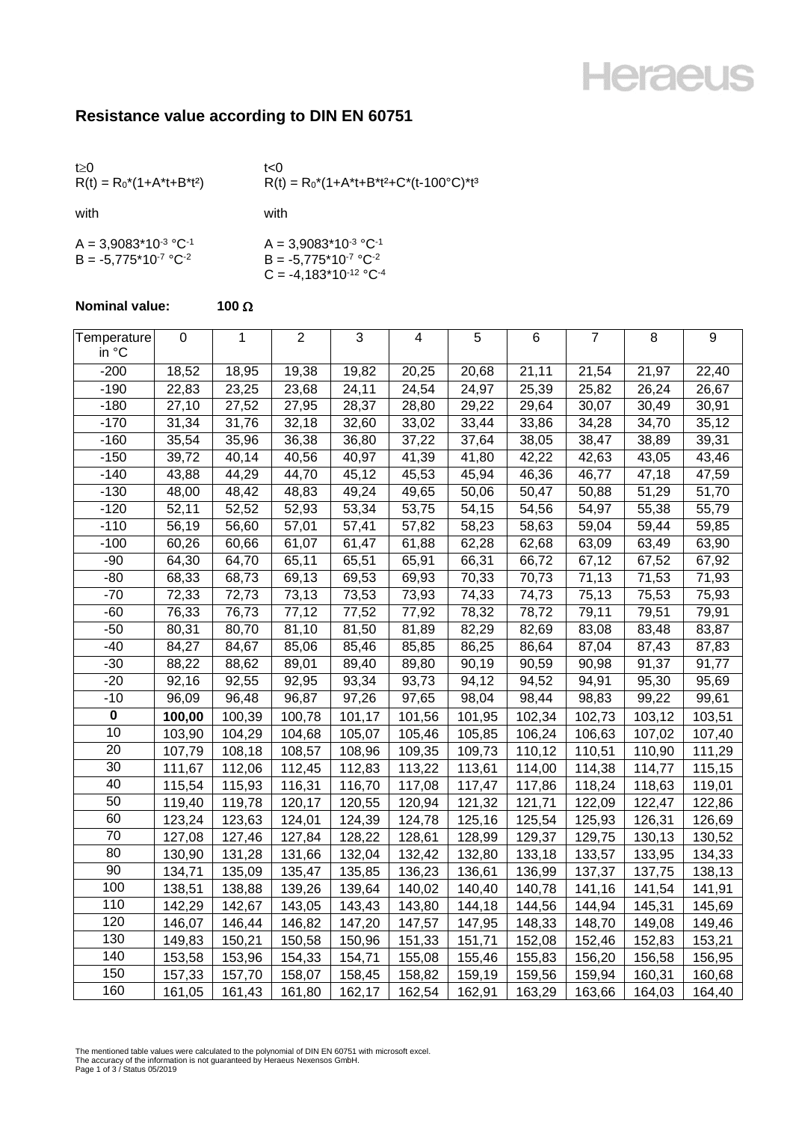## **Heraeus**

## **Resistance value according to DIN EN 60751**

| t > 0<br>$R(t) = R_0^*(1+A^*t+B^*t^2)$                 | t<0<br>$R(t) = R_0^*(1 + A^*t + B^*t^2 + C^*(t - 100^{\circ}C)^*t^3)$       |
|--------------------------------------------------------|-----------------------------------------------------------------------------|
| with                                                   | with                                                                        |
| $A = 3,9083*10-3 °C-1$<br>$B = -5.775*10^{-7} °C^{-2}$ | $A = 3,9083*10-3 °C-1$<br>$B = -5.775*10-7 °C-2$<br>$C = -4.183*10-12 °C-4$ |

## **Nominal value: 100**  $\Omega$

| Temperature | 0      | 1      | $\overline{2}$ | 3      | 4      | 5      | 6      | $\overline{7}$ | 8      | $\boldsymbol{9}$ |
|-------------|--------|--------|----------------|--------|--------|--------|--------|----------------|--------|------------------|
| in °C       |        |        |                |        |        |        |        |                |        |                  |
| $-200$      | 18,52  | 18,95  | 19,38          | 19,82  | 20,25  | 20,68  | 21,11  | 21,54          | 21,97  | 22,40            |
| $-190$      | 22,83  | 23,25  | 23,68          | 24,11  | 24,54  | 24,97  | 25,39  | 25,82          | 26,24  | 26,67            |
| $-180$      | 27,10  | 27,52  | 27,95          | 28,37  | 28,80  | 29,22  | 29,64  | 30,07          | 30,49  | 30,91            |
| $-170$      | 31,34  | 31,76  | 32,18          | 32,60  | 33,02  | 33,44  | 33,86  | 34,28          | 34,70  | 35,12            |
| $-160$      | 35,54  | 35,96  | 36,38          | 36,80  | 37,22  | 37,64  | 38,05  | 38,47          | 38,89  | 39,31            |
| $-150$      | 39,72  | 40,14  | 40,56          | 40,97  | 41,39  | 41,80  | 42,22  | 42,63          | 43,05  | 43,46            |
| $-140$      | 43,88  | 44,29  | 44,70          | 45,12  | 45,53  | 45,94  | 46,36  | 46,77          | 47,18  | 47,59            |
| $-130$      | 48,00  | 48,42  | 48,83          | 49,24  | 49,65  | 50,06  | 50,47  | 50,88          | 51,29  | 51,70            |
| $-120$      | 52,11  | 52,52  | 52,93          | 53,34  | 53,75  | 54,15  | 54,56  | 54,97          | 55,38  | 55,79            |
| $-110$      | 56,19  | 56,60  | 57,01          | 57,41  | 57,82  | 58,23  | 58,63  | 59,04          | 59,44  | 59,85            |
| $-100$      | 60,26  | 60,66  | 61,07          | 61,47  | 61,88  | 62,28  | 62,68  | 63,09          | 63,49  | 63,90            |
| $-90$       | 64,30  | 64,70  | 65,11          | 65,51  | 65,91  | 66,31  | 66,72  | 67,12          | 67,52  | 67,92            |
| $-80$       | 68,33  | 68,73  | 69,13          | 69,53  | 69,93  | 70,33  | 70,73  | 71,13          | 71,53  | 71,93            |
| $-70$       | 72,33  | 72,73  | 73,13          | 73,53  | 73,93  | 74,33  | 74,73  | 75,13          | 75,53  | 75,93            |
| $-60$       | 76,33  | 76,73  | 77,12          | 77,52  | 77,92  | 78,32  | 78,72  | 79,11          | 79,51  | 79,91            |
| $-50$       | 80,31  | 80,70  | 81,10          | 81,50  | 81,89  | 82,29  | 82,69  | 83,08          | 83,48  | 83,87            |
| $-40$       | 84,27  | 84,67  | 85,06          | 85,46  | 85,85  | 86,25  | 86,64  | 87,04          | 87,43  | 87,83            |
| $-30$       | 88,22  | 88,62  | 89,01          | 89,40  | 89,80  | 90,19  | 90,59  | 90,98          | 91,37  | 91,77            |
| $-20$       | 92,16  | 92,55  | 92,95          | 93,34  | 93,73  | 94,12  | 94,52  | 94,91          | 95,30  | 95,69            |
| $-10$       | 96,09  | 96,48  | 96,87          | 97,26  | 97,65  | 98,04  | 98,44  | 98,83          | 99,22  | 99,61            |
| $\pmb{0}$   | 100,00 | 100,39 | 100,78         | 101,17 | 101,56 | 101,95 | 102,34 | 102,73         | 103,12 | 103,51           |
| 10          | 103,90 | 104,29 | 104,68         | 105,07 | 105,46 | 105,85 | 106,24 | 106,63         | 107,02 | 107,40           |
| 20          | 107,79 | 108,18 | 108,57         | 108,96 | 109,35 | 109,73 | 110,12 | 110,51         | 110,90 | 111,29           |
| 30          | 111,67 | 112,06 | 112,45         | 112,83 | 113,22 | 113,61 | 114,00 | 114,38         | 114,77 | 115,15           |
| 40          | 115,54 | 115,93 | 116,31         | 116,70 | 117,08 | 117,47 | 117,86 | 118,24         | 118,63 | 119,01           |
| 50          | 119,40 | 119,78 | 120,17         | 120,55 | 120,94 | 121,32 | 121,71 | 122,09         | 122,47 | 122,86           |
| 60          | 123,24 | 123,63 | 124,01         | 124,39 | 124,78 | 125,16 | 125,54 | 125,93         | 126,31 | 126,69           |
| 70          | 127,08 | 127,46 | 127,84         | 128,22 | 128,61 | 128,99 | 129,37 | 129,75         | 130,13 | 130,52           |
| 80          | 130,90 | 131,28 | 131,66         | 132,04 | 132,42 | 132,80 | 133,18 | 133,57         | 133,95 | 134,33           |
| 90          | 134,71 | 135,09 | 135,47         | 135,85 | 136,23 | 136,61 | 136,99 | 137,37         | 137,75 | 138,13           |
| 100         | 138,51 | 138,88 | 139,26         | 139,64 | 140,02 | 140,40 | 140,78 | 141,16         | 141,54 | 141,91           |
| 110         | 142,29 | 142,67 | 143,05         | 143,43 | 143,80 | 144,18 | 144,56 | 144,94         | 145,31 | 145,69           |
| 120         | 146,07 | 146,44 | 146,82         | 147,20 | 147,57 | 147,95 | 148,33 | 148,70         | 149,08 | 149,46           |
| 130         | 149,83 | 150,21 | 150,58         | 150,96 | 151,33 | 151,71 | 152,08 | 152,46         | 152,83 | 153,21           |
| 140         | 153,58 | 153,96 | 154,33         | 154,71 | 155,08 | 155,46 | 155,83 | 156,20         | 156,58 | 156,95           |
| 150         | 157,33 | 157,70 | 158,07         | 158,45 | 158,82 | 159,19 | 159,56 | 159,94         | 160,31 | 160,68           |
| 160         | 161,05 | 161,43 | 161,80         | 162,17 | 162,54 | 162,91 | 163,29 | 163,66         | 164,03 | 164,40           |

The mentioned table values were calculated to the polynomial of DIN EN 60751 with microsoft excel. The accuracy of the information is not guaranteed by Heraeus Nexensos GmbH. Page 1 of 3 / Status 05/2019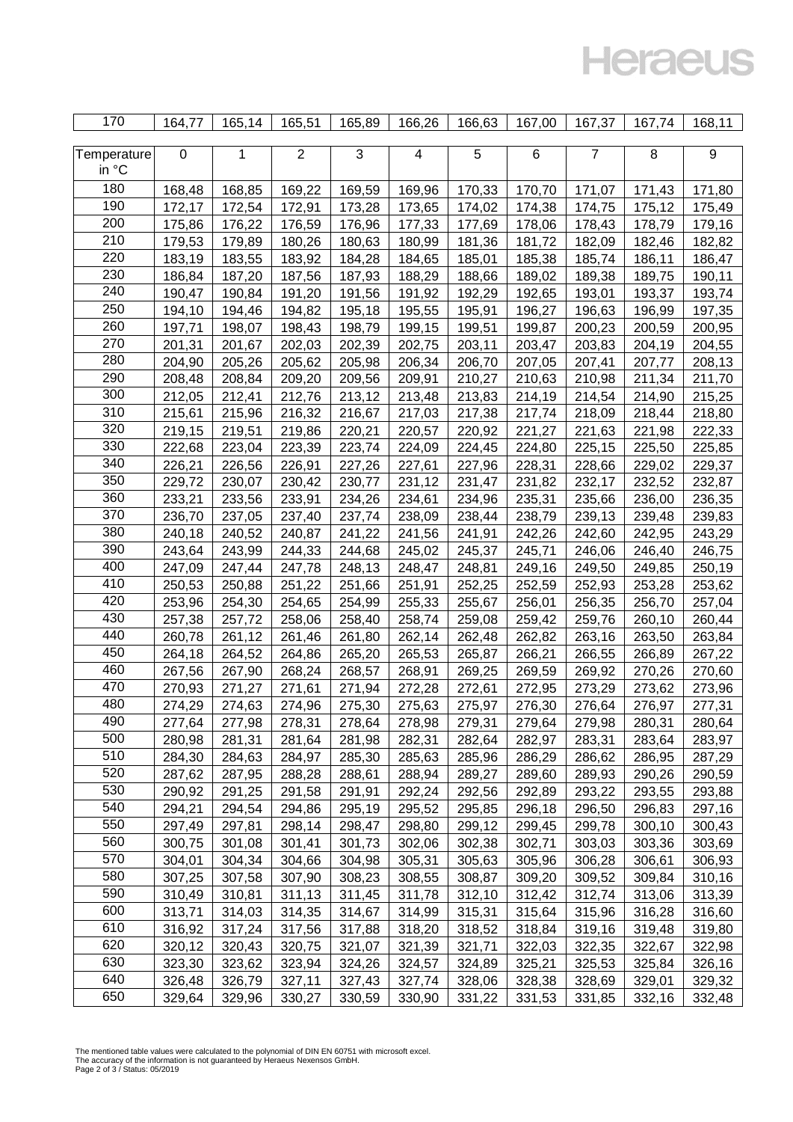**Heraeus** 

| 170         | 164,77           | 165,14 | 165,51         | 165,89 | 166,26           | 166,63           | 167,00 | 167,37         | 167,74           | 168,11           |
|-------------|------------------|--------|----------------|--------|------------------|------------------|--------|----------------|------------------|------------------|
|             |                  |        |                |        |                  |                  |        |                |                  |                  |
| Temperature | $\boldsymbol{0}$ | 1      | $\overline{2}$ | 3      | 4                | 5                | 6      | $\overline{7}$ | 8                | 9                |
| in °C       |                  |        |                |        |                  |                  |        |                |                  |                  |
| 180         | 168,48           | 168,85 | 169,22         | 169,59 | 169,96           | 170,33           | 170,70 | 171,07         | 171,43           | 171,80           |
| 190         | 172,17           | 172,54 | 172,91         | 173,28 | 173,65           | 174,02           | 174,38 | 174,75         | 175,12           | 175,49           |
| 200         | 175,86           | 176,22 | 176,59         | 176,96 | 177,33           | 177,69           | 178,06 | 178,43         | 178,79           | 179,16           |
| 210         | 179,53           | 179,89 | 180,26         | 180,63 | 180,99           | 181,36           | 181,72 | 182,09         | 182,46           | 182,82           |
| 220         | 183,19           | 183,55 | 183,92         | 184,28 | 184,65           | 185,01           | 185,38 | 185,74         | 186,11           | 186,47           |
| 230         | 186,84           | 187,20 | 187,56         | 187,93 | 188,29           | 188,66           | 189,02 | 189,38         | 189,75           | 190,11           |
| 240         | 190,47           | 190,84 | 191,20         | 191,56 | 191,92           | 192,29           | 192,65 | 193,01         | 193,37           | 193,74           |
| 250         | 194,10           | 194,46 | 194,82         | 195,18 | 195,55           | 195,91           | 196,27 | 196,63         | 196,99           | 197,35           |
| 260         | 197,71           | 198,07 | 198,43         | 198,79 | 199,15           | 199,51           | 199,87 | 200,23         | 200,59           | 200,95           |
| 270         | 201,31           | 201,67 | 202,03         | 202,39 | 202,75           | 203,11           | 203,47 | 203,83         | 204,19           | 204,55           |
| 280         | 204,90           | 205,26 | 205,62         | 205,98 | 206,34           | 206,70           | 207,05 | 207,41         | 207,77           | 208,13           |
| 290         | 208,48           | 208,84 | 209,20         | 209,56 | 209,91           | 210,27           | 210,63 | 210,98         | 211,34           | 211,70           |
| 300         | 212,05           | 212,41 | 212,76         | 213,12 | 213,48           | 213,83           | 214,19 | 214,54         | 214,90           | 215,25           |
| 310         | 215,61           | 215,96 | 216,32         | 216,67 | 217,03           | 217,38           | 217,74 | 218,09         | 218,44           | 218,80           |
| 320         | 219,15           | 219,51 | 219,86         | 220,21 |                  | 220,92           |        | 221,63         |                  |                  |
| 330         | 222,68           | 223,04 | 223,39         | 223,74 | 220,57<br>224,09 | 224,45           | 221,27 | 225,15         | 221,98<br>225,50 | 222,33<br>225,85 |
| 340         |                  | 226,56 |                |        | 227,61           |                  | 224,80 |                |                  |                  |
| 350         | 226,21<br>229,72 |        | 226,91         | 227,26 |                  | 227,96<br>231,47 | 228,31 | 228,66         | 229,02           | 229,37           |
| 360         |                  | 230,07 | 230,42         | 230,77 | 231,12           |                  | 231,82 | 232,17         | 232,52           | 232,87           |
| 370         | 233,21           | 233,56 | 233,91         | 234,26 | 234,61           | 234,96           | 235,31 | 235,66         | 236,00           | 236,35           |
|             | 236,70           | 237,05 | 237,40         | 237,74 | 238,09           | 238,44           | 238,79 | 239,13         | 239,48           | 239,83           |
| 380         | 240,18           | 240,52 | 240,87         | 241,22 | 241,56           | 241,91           | 242,26 | 242,60         | 242,95           | 243,29           |
| 390         | 243,64           | 243,99 | 244,33         | 244,68 | 245,02           | 245,37           | 245,71 | 246,06         | 246,40           | 246,75           |
| 400         | 247,09           | 247,44 | 247,78         | 248,13 | 248,47           | 248,81           | 249,16 | 249,50         | 249,85           | 250,19           |
| 410         | 250,53           | 250,88 | 251,22         | 251,66 | 251,91           | 252,25           | 252,59 | 252,93         | 253,28           | 253,62           |
| 420         | 253,96           | 254,30 | 254,65         | 254,99 | 255,33           | 255,67           | 256,01 | 256,35         | 256,70           | 257,04           |
| 430         | 257,38           | 257,72 | 258,06         | 258,40 | 258,74           | 259,08           | 259,42 | 259,76         | 260,10           | 260,44           |
| 440         | 260,78           | 261,12 | 261,46         | 261,80 | 262,14           | 262,48           | 262,82 | 263,16         | 263,50           | 263,84           |
| 450         | 264,18           | 264,52 | 264,86         | 265,20 | 265,53           | 265,87           | 266,21 | 266,55         | 266,89           | 267,22           |
| 460         | 267,56           | 267,90 | 268,24         | 268,57 | 268,91           | 269,25           | 269,59 | 269,92         | 270,26           | 270,60           |
| 470         | 270,93           | 271,27 | 271,61         | 271,94 | 272,28           | 272,61           | 272,95 | 273,29         | 273,62           | 273,96           |
| 480         | 274,29           | 274,63 | 274,96         | 275,30 | 275,63           | 275,97           | 276,30 | 276,64         | 276,97           | 277,31           |
| 490         | 277,64           | 277,98 | 278,31         | 278,64 | 278,98           | 279,31           | 279,64 | 279,98         | 280,31           | 280,64           |
| 500         | 280,98           | 281,31 | 281,64         | 281,98 | 282,31           | 282,64           | 282,97 | 283,31         | 283,64           | 283,97           |
| 510         | 284,30           | 284,63 | 284,97         | 285,30 | 285,63           | 285,96           | 286,29 | 286,62         | 286,95           | 287,29           |
| 520         | 287,62           | 287,95 | 288,28         | 288,61 | 288,94           | 289,27           | 289,60 | 289,93         | 290,26           | 290,59           |
| 530         | 290,92           | 291,25 | 291,58         | 291,91 | 292,24           | 292,56           | 292,89 | 293,22         | 293,55           | 293,88           |
| 540         | 294,21           | 294,54 | 294,86         | 295,19 | 295,52           | 295,85           | 296,18 | 296,50         | 296,83           | 297,16           |
| 550         | 297,49           | 297,81 | 298,14         | 298,47 | 298,80           | 299,12           | 299,45 | 299,78         | 300,10           | 300,43           |
| 560         | 300,75           | 301,08 | 301,41         | 301,73 | 302,06           | 302,38           | 302,71 | 303,03         | 303,36           | 303,69           |
| 570         | 304,01           | 304,34 | 304,66         | 304,98 | 305,31           | 305,63           | 305,96 | 306,28         | 306,61           | 306,93           |
| 580         | 307,25           | 307,58 | 307,90         | 308,23 | 308,55           | 308,87           | 309,20 | 309,52         | 309,84           | 310,16           |
| 590         | 310,49           | 310,81 | 311,13         | 311,45 | 311,78           | 312,10           | 312,42 | 312,74         | 313,06           | 313,39           |
| 600         | 313,71           | 314,03 | 314,35         | 314,67 | 314,99           | 315,31           | 315,64 | 315,96         | 316,28           | 316,60           |
| 610         | 316,92           | 317,24 | 317,56         | 317,88 | 318,20           | 318,52           | 318,84 | 319,16         | 319,48           | 319,80           |
| 620         | 320,12           | 320,43 | 320,75         | 321,07 | 321,39           | 321,71           | 322,03 | 322,35         | 322,67           | 322,98           |
| 630         | 323,30           | 323,62 | 323,94         | 324,26 | 324,57           | 324,89           | 325,21 | 325,53         | 325,84           | 326,16           |
| 640         | 326,48           | 326,79 | 327,11         | 327,43 | 327,74           | 328,06           | 328,38 | 328,69         | 329,01           | 329,32           |
| 650         | 329,64           | 329,96 | 330,27         | 330,59 | 330,90           | 331,22           | 331,53 | 331,85         | 332,16           | 332,48           |

The mentioned table values were calculated to the polynomial of DIN EN 60751 with microsoft excel. The accuracy of the information is not guaranteed by Heraeus Nexensos GmbH. Page 2 of 3 / Status: 05/2019